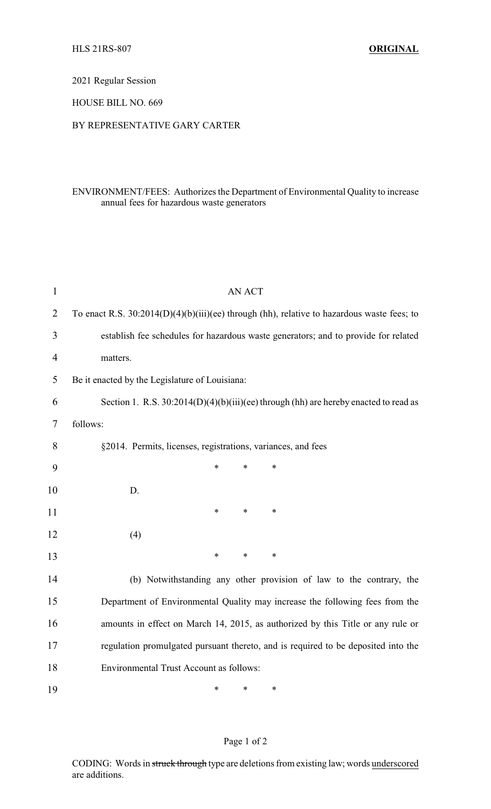2021 Regular Session

HOUSE BILL NO. 669

### BY REPRESENTATIVE GARY CARTER

# ENVIRONMENT/FEES: Authorizes the Department of Environmental Quality to increase annual fees for hazardous waste generators

| $\mathbf{1}$   | <b>AN ACT</b>                                                                                |  |  |  |
|----------------|----------------------------------------------------------------------------------------------|--|--|--|
| $\overline{2}$ | To enact R.S. $30:2014(D)(4)(b)(iii)(ee)$ through (hh), relative to hazardous waste fees; to |  |  |  |
| 3              | establish fee schedules for hazardous waste generators; and to provide for related           |  |  |  |
| 4              | matters.                                                                                     |  |  |  |
| 5              | Be it enacted by the Legislature of Louisiana:                                               |  |  |  |
| 6              | Section 1. R.S. $30:2014(D)(4)(b)(iii)(ee)$ through (hh) are hereby enacted to read as       |  |  |  |
| 7              | follows:                                                                                     |  |  |  |
| 8              | §2014. Permits, licenses, registrations, variances, and fees                                 |  |  |  |
| 9              | $\ast$<br>$\ast$<br>$\ast$                                                                   |  |  |  |
| 10             | D.                                                                                           |  |  |  |
| 11             | $\ast$<br>$\ast$<br>$\ast$                                                                   |  |  |  |
| 12             | (4)                                                                                          |  |  |  |
| 13             | $\ast$<br>$\ast$<br>$\ast$                                                                   |  |  |  |
| 14             | (b) Notwithstanding any other provision of law to the contrary, the                          |  |  |  |
| 15             | Department of Environmental Quality may increase the following fees from the                 |  |  |  |
| 16             | amounts in effect on March 14, 2015, as authorized by this Title or any rule or              |  |  |  |
| 17             | regulation promulgated pursuant thereto, and is required to be deposited into the            |  |  |  |
| 18             | <b>Environmental Trust Account as follows:</b>                                               |  |  |  |
| 19             | *<br>$\ast$<br>$\ast$                                                                        |  |  |  |

### Page 1 of 2

CODING: Words in struck through type are deletions from existing law; words underscored are additions.